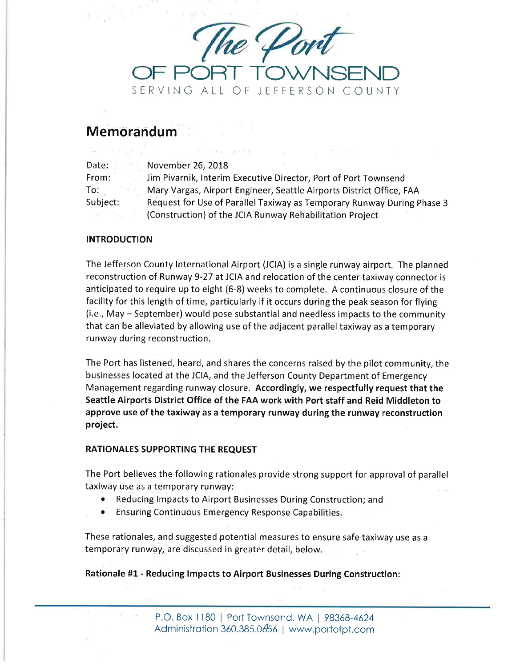

# Memorandum

Vermings (°

| Date:    | November 26, 2018                                                      |
|----------|------------------------------------------------------------------------|
| From:    | Jim Pivarnik, Interim Executive Director, Port of Port Townsend        |
| To:      | Mary Vargas, Airport Engineer, Seattle Airports District Office, FAA   |
| Subject: | Request for Use of Parallel Taxiway as Temporary Runway During Phase 3 |
|          | (Construction) of the JCIA Runway Rehabilitation Project               |

a company of the same process and the same process of

# **INTRODUCTION**

The Jefferson County lnternational Airport (JCIA) is a single runway airport. The planned reconstruction of Runway 9-27 at JCIA and relocation of the center taxiway connector is anticipated to require up to eight (6-8) weeks to complete. A continuous closure of the facility for this length of time, particularly if it occurs during the peak season for flying (i.e., May - September) would pose substantial and needless impacts to the community that can be alleviated by allowing use of the adjacent parallel taxiway as a temporary runway during reconstruction.

The Port has listened, heard, and shares the concerns raised by the pilot community, the businesses located at the JCIA, and the Jefferson County Department of Emergency Management regarding runway closure. Accordingly, we respectfully request that the Seattle Airports District Office of the FAA work with Port staff and Reid Middleton to approve use of the taxiway as a temporary runway during the runway reconstruction project.

### RATIONALES SUPPORTING THE REQUEST

The Port believes the following rationales provide strong support for approval of panallel taxiway use as a temporary runway:

- o Reducing lmpacts to Airport Businesses During Construction; and
- o Ensuring Continuous Emergency Response Capabilities.

These rationales, and suggested.potential measures to ensure safe taxiway use as <sup>a</sup> temporary runway, are discussed in greater detail, below.

Rationale #1- Reducing lmpacts to Airport Businesses During Construction: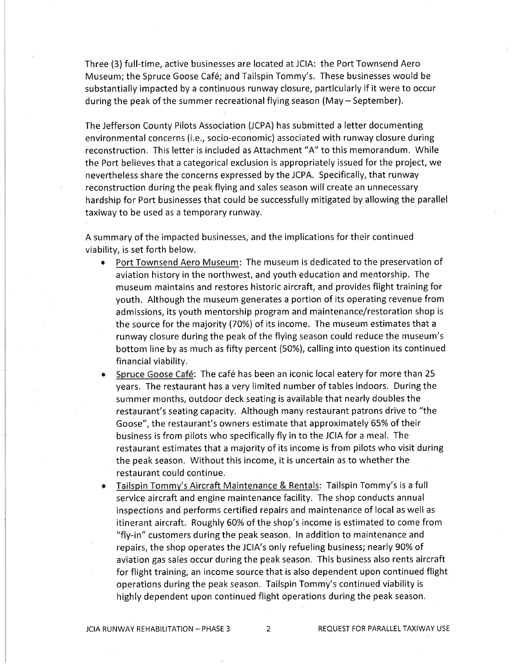Three (3) full-time, active businesses are located at JCIA: the Port Townsend Aero Museum; the Spruce Goose Caf6; and Tailspin Tommy's. These businesses would be substantially impacted by a continuous runway closure, particularly if it were to occur during the peak of the summer recreational flying season (May - September).

The Jefferson County Pilots Association (JCPA) has submitted a letter documenting environmental concerns (i.e., socio-economic) associated with runway closure during reconstruction. This letter is included as Attachment "A" to this memorandum, While the Port believes that a categorical exclusion is appropriately issued for the project, we nevertheless share the concerns expressed by the JCPA. Specifically, that runway reconstruction during the peak flying and sales season will create an unnecessary hardship for Port businesses that could be successfully mitigated by allowing the parallel taxiway to be used as a temporary runway.

A summary of the impacted businesses, and the implications for their continued viability, is set forth below.

- Port Townsend Aero Museum: The museum is dedicated to the preservation of aviation history in the northwest, and youth education and mentorship. The museum maintains and restores historic aircraft, and provides flight training for youth. Although the museum generates a portion of its operating revenue from admissions, its youth mentorship program and maintenance/restoration shop is the source for the majority (70%) of its income. The museum estimates that a runway closure during the peak of the flying season could reduce the museum's bottom line by as much as fifty percent (50%), calling into question its continued financial viability.
- Spruce Goose Café: The café has been an iconic local eatery for more than 25 years. The restaurant has a very limited number of tables indoors. During the summer months, outdoor deck seating is available that nearly doubles the restaurant's seating capacity. Although many restaurant patrons drive to "the Goose", the restaurant's owners estimate that approximately 65% of their business is from pilots who specifically fly in to the JCIA for a meal. The restaurant estimates that a majority of its income is from pilots who visit during the peak season. Without this income, it is uncertain as to whether the restaurant could continue.
- Tailspin Tommy's Aircraft Maintenance & Rentals: Tailspin Tommy's is a full service aircraft and engine maintenance facility. The shop conducts annual inspections and performs certified repairs and maintenance of local as well as itinerant aircraft. Roughly 60% of the shop's income is estimated to come from "fly-in" customers during the peak season. In addition to maintenance and repairs, the shop operates the JCIA's only refueling business; nearly 9O% of aviation gas sales occur during the peak season. This business also rents aircraft for flight training, an income source that is also dependent upon continued flight operations during the peak season. Tailspin Tommy's continued viability is highly dependent upon continued flight operations during the peak season,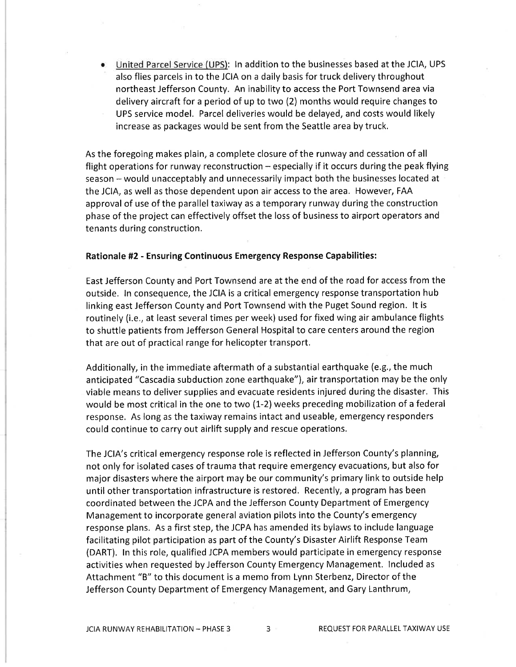United Parcel Service (UPS): ln addition to the businesses based at the JCIA, UPS also flies parcels in to the JCIA on a daily basis for truck delivery throughout northeast Jefferson County. An inability to access the Port Townsend area via delivery aircraft for a period of up to two (2) months would require changes to UPS service model. Parcel deliveries would be delayed, and costs would likely increase as packages would be sent from the Seattle area by truck. a

As the foregoing makes plain, a complete closure of the runway and cessation of all flight operations for runway reconstruction  $-$  especially if it occurs during the peak flying season - would unacceptably and unnecessarily impact both the businesses located at the JCIA, as well as those dependent upon air access to the area. However, FAA approval of use of the parallel taxiway as a temporary runway during the construction phase of the project can effectively offset the loss of business to airport operators and tenants during construction.

#### Rationale #2 - Ensuring Continuous Emergency Response Capabilities:

East Jefferson County and Port Townsend are at the end of the road for access from the outside. ln consequence, the JCIA is a critical emergency response transportation hub linking east Jefferson County and Port Townsend with the Puget Sound region. lt is routinely (i.e,, at least several times per week) used for fixed wing air ambulance flights to shuttle patients from Jefferson General Hospital to care centers around the region that are out of practical range for helicopter transport.

Additionally, in the immediate aftermath of a substantial earthquake (e.g., the much anticipated "Cascadia subduction zone earthquake"), air transportation may be the only viable means to deliver supplies and evacuate residents injured during the disaster. This would be most critical in the one to two (1-2) weeks preceding mobilization of a federal response, As long as the taxiway remains intact and useable, emergency responders could continue to carry out airlift supply and rescue operations,

The JCIA's critical emergency response role is reflected in Jefferson County's planning, not only for isolated cases of trauma that require emergency evacuations, but also for major disasters where the airport may be our community's primary link to outside help until other transportation infrastructure is restored. Recently, a program has been coordinated between the JCPA and the Jefferson County Department of Emergency Management to incorporate general aviation pilots into the County's emergency response plans. As a first step, the JCPA has amended its bylaws to include language facilitating pilot participation as part of the County's Disaster Airlift Response Team (DART). ln this role, qualified JCPA members would participate in emergency response activities when requested by Jefferson County Emergency Management. lncluded as Attachment "B" to this document is a memo from Lynn Sterbenz, Director of the Jefferson County Department of Emergency Management, and Gary Lanthrum,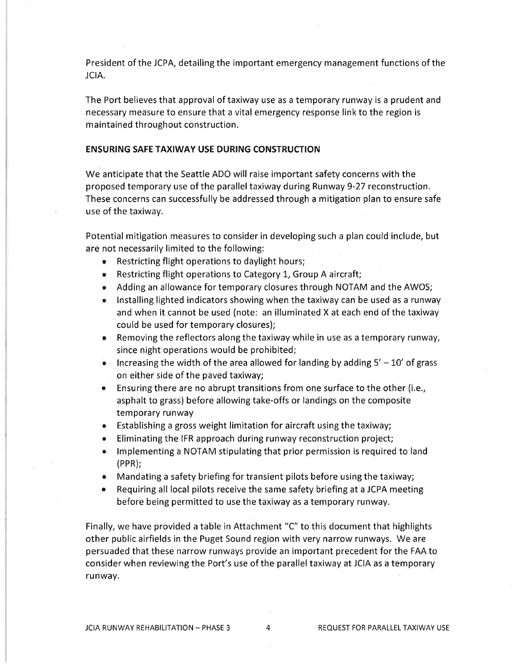President of the JCPA, detailing the important emergency management functions of the JCIA.

The Port believes that approval of taxiway use as a temporary runway is a prudent and necessary measure to ensure that a vital emergency response link to the region is maintained throughout construction.

#### ENSURING SAFE TAXIWAY USE DURING CONSTRUCTION

We anticipate that the Seattle ADO will raise important safety concerns with the proposed temporary use of the parallel taxiway during Runway 9-27 reconstruction. These concerns can successfully be addressed through a mitigation plan to ensure safe use of the taxiway.

Potential mitigation measures to consider in developing such a plan could include, but are not necessarily limited to the following:

- o Restricting flight operations to daylight hours;
- $\bullet$  Restricting flight operations to Category 1, Group A aircraft;
- Adding an allowance for temporary closures through NOTAM and the AWOS;
- o lnstalling lighted indicators showing when the taxiway can be used as a runway and when it cannot be used (note: an illuminated X at each end of the taxiway could be used for temporary closures);
- o Removing the reflectors along the taxiway while in use as a temporary runway, since night operations would be prohibited;
- $\bullet$  lncreasing the width of the area allowed for landing by adding  $5' 10'$  of grass on either side of the paved taxiway;
- Ensuring there are no abrupt transitions from one surface to the other (i.e., asphalt to grass) before allowing take-offs or landings on the composite temporary runway
- o Establishing a gross weight limitation for aircraft using the taxiway;
- o Eliminating the IFR approach during runway reconstruction project;
- Implementing a NOTAM stipulating that prior permission is required to land (PPR);
- o Mandating a safety briefing for transient pilots before using the taxiway;
- Requiring all local pilots receive the same safety briefing at a JCPA meeting before being permitted to use the taxiway as a temporary runway.

Finally, we have provided a table in Attachment "C" to this document that highlights other public airfields in the Puget Sound region with very narrow runways. We are persuaded that these narrow runways provide an important precedent for the FAA to consider when reviewing the Port's use of the parallel taxiway at JCIA as a temporary runway.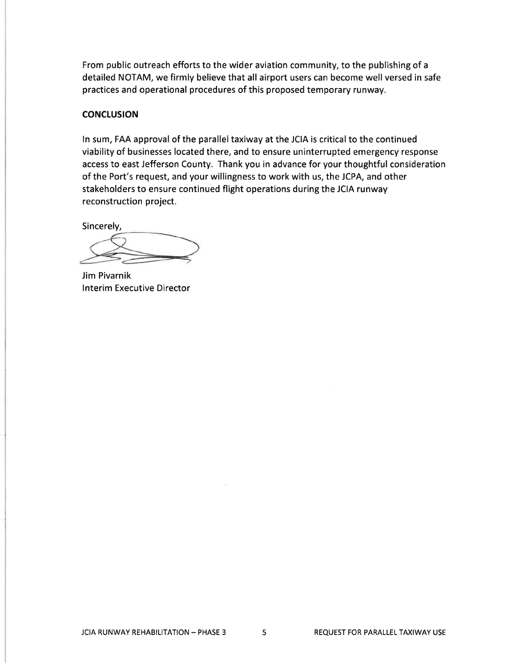From public outreach efforts to the wider aviation community, to the publishing of <sup>a</sup> detailed NOTAM, we firmly believe that all airport users can become well versed in safe practices and operational procedures of this proposed temporary runway.

## **CONCLUSION**

ln sum, FAA approval of the parallel taxiway at the JCIA is critical to the continued viability of businesses located there, and to ensure uninterrupted emergency response access to east Jefferson County. Thank you in advance for your thoughtful consideration of the Port's request, and your willingness to work with us, the JCPA, and other stakeholders to ensure continued flight operations during the JCIA runway reconstruction project.

Sincerely,

Jim Pivarnik lnterim Executive Director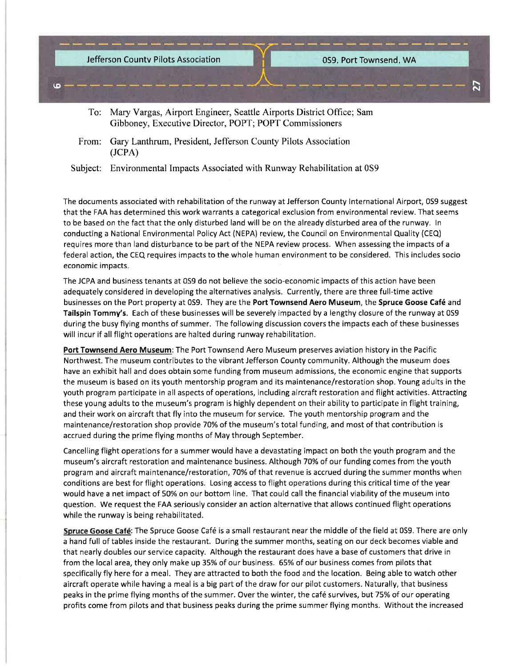

- To: Mary Vargas, Airport Engineer, Seattle Airports District Office; Sam Gibboney, Executive Director, POPT; POPT Commissioners
- From: Gary Lanthrum, President, Jefferson Counfy Pilots Association (JCPA)

Subject: Environmental Impacts Associated with Runway Rehabilitation at 0S9

The documents associated with rehabilitation of the runway at Jefferson County International Airport, 0S9 suggest that the FAA has determined this work warrants a categorical exclusion from environmental review. That seems to be based on the fact that the only disturbed land will be on the already disturbed area of the runway. In conducting a National Environmental Policy Act (NEPA) review, the Council on Environmental Quality (CEQ) requires more than land disturbance to be part of the NEPA review process. When assessing the impacts of a federal action, the CEQ requires impacts to the whole human environment to be considered. This includes socio economic impacts.

The JCPA and business tenants at 0S9 do not believe the socio-economic impacts of this action have been adequately considered in developing the alternatives analysis. Currently, there are three full-time active businesses on the Port property at 0S9. They are the Port Townsend Aero Museum, the Spruce Goose Café and Tailspin Tommy's. Each of these businesses will be severely impacted by a lengthy closure of the runway at 0S9 during the busy flying months of summer. The following discussion covers the impacts each of these businesses will incur if all flight operations are halted during runway rehabilitation.

Port Townsend Aero Museum: The Port Townsend Aero Museum preserves aviation history in the Pacific Northwest. The museum contributes to the vibrant Jefferson County community. Although the museum does have an exhibit hall and does obtain some funding from museum admissions, the economic engine that supports the museum is based on its youth mentorship program and its maintenance/restoration shop. Young adults in the youth program participate in all aspects of operations, including aircraft restoration and flight activities. Attracting these young adults to the museum's program is highly dependent on their ability to participate in flight training, and their work on aircraft that fly into the museum for service. The youth mentorship program and the maintenance/restoration shop provide 70% of the museum's total funding, and most of that contribution is accrued during the prime flying months of May through September.

Cancelling flight operations for a summer would have a devastating impact on both the youth program and the museum's aircraft restoration and maintenance business. Although 70% of our funding comes from the youth program and aircraft maintenance/restoration, 70% of that revenue is accrued during the summer months when conditions are best for flight operations. Losing access to flight operations during this critical time of the year would have a net impact of 5O% on our bottom line. That could call the financial viability of the museum into question. We request the FAA seriously consider an action alternative that allows continued flight operations while the runway is being rehabilitated.

Spruce Goose Café: The Spruce Goose Café is a small restaurant near the middle of the field at 0S9. There are only a hand full of tables inside the restaurant. During the summer months, seating on our deck becomes viable and that nearly doubles our service capacity. Although the restaurant does have a base of customers that drive in from the local area, they only make up 35% of our business . 65% of our business comes from pilots that specifically fly here for a meal. They are attracted to both the food and the location. Being able to watch other aircraft operate while having a meal is a big part of the draw for our pilot customers. Naturally, that business peaks in the prime flying months of the summer. Over the winter, the café survives, but 75% of our operating profits come from pilots and that business peaks during the prime summer flying months. Without the increased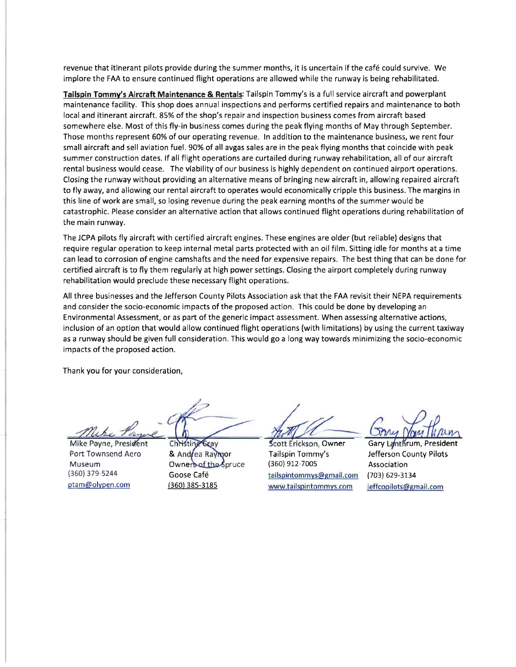revenue that itinerant pilots provide during the summer months, it is uncertain if the café could survive. We implore the FAA to ensure continued flight operations are allowed while the runway is being rehabilitated.

Tailspin Tommy's Aircraft Maintenance & Rentals: Tailspin Tommy's is a full service aircraft and powerplant maintenance facility. This shop does annual inspections and performs certified repairs and maintenance to both local and itinerant aircraft. 85% of the shop's repair and inspection business comes from aircraft based somewhere else. Most of this fly-in business comes during the peak flying months of May through September. Those months represent 6O% of our operating revenue. ln addition to the maintenance business, we rent four small aircraft and sell aviation fuel. 90% of all avgas sales are in the peak flying months that coincide with peak summer construction dates. lf all flight operations are curtailed during runway rehabilitation, all of our aircraft rental business would cease. The viability of our business is highly dependent on continued airport operations. Closing the runway without providing an alternative means of bringing new aircraft in, allowing repaired aircraft to fly away, and allowing our rental aircraft to operates would economically cripple this business. The margins in this line of work are small, so losing revenue during the peak earning months of the summer would be catastrophic. Please consider an alternative action that allows continued flight operations during rehabilitation of the main runway.

The JCPA pilots fly aircraft with certified aircraft engines. These engines are older (but reliable) designs that require regular operation to keep internal metal parts protected with an oil film. Sitting idle for months at a time can lead to corrosion of engine camshafts and the need for expensive repairs. The best thing that can be done for certified aircraft is to fly them regularly at high power settings. Closing the airport completely during runway rehabilitation would preclude these necessary flight operations.

All three businesses and the Jefferson County Pilots Association ask that the FAA revisit their NEPA requirements and consider the socio-economic impacts of the proposed action. This could be done by developing an Environmental Assessment, or as part of the generic impact assessment. When assessing alternative actions, inclusion of an option that would allow continued flight operations (with limitations) by using the current taxiway as a runway should be given full consideration. This would go a long way towards minimizing the socio-economic impacts of the proposed action.

Thank you for your consideration,

..7

Mike Payne, President Port Townsend Aero Museum (360) 379-s244 ptam@olvpen.com

Christing **Scay** & Andrea Raymor Owners of the Spruce Goose Café {360) 38s-318s

Tailspin Tommy's (360) 912,700s tailspintommvs@email.com www.tailspintommys.com

Scott Erickson, Owner Gary Lanthrum, President Jefferson County Pilots Association (703) 629-3134 jeffcopilots@gmail.com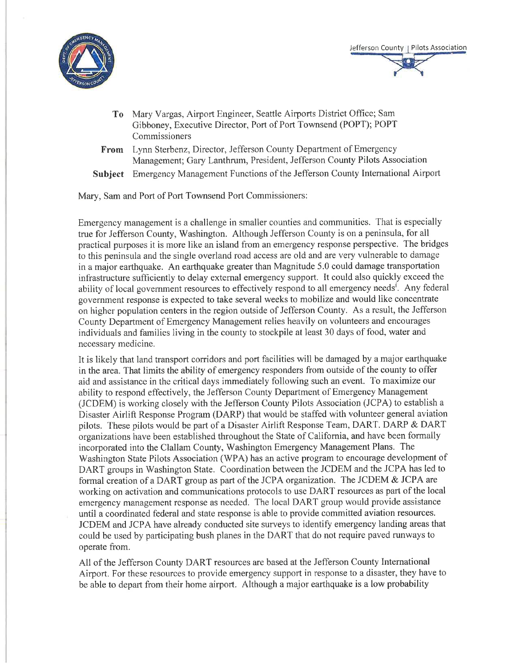



- To Mary Vargas, Airport Engineer, Seattle Airports District Office; Sam Gibboney, Executive Director, Port of Port Townsend (POPT); POPT Commissioners
- From Lynn Sterbenz, Director, Jefferson County Department of Emergency Management; Gary Lanthrum, President, Jefferson County Pilots Association
- Subject Emergency Management Functions of the Jefferson County Intemational Airport

Mary, Sam and Port of Port Townsend Port Commissioners:

Emergency management is a challenge in smaller counties and communities. That is especially true for Jefferson County, Washington. Although Jefferson County is on a peninsula, for all practical purposes it is more like an island from an emergency response perspective. The bridges to this peninsula and the single overland road access are old and are very vulnerable to damage in a major earthquake. An earthquake greater than Magnitude 5.0 could damage transportation infiastructure sufficiently to delay external emergency support. It could also quickly exceed the ability of local government resources to effectively respond to all emergency needs'. Any federal government response is expected to take several weeks to mobilize and would like concentrate on higher population centers in the region outside of Jefferson County. As a result, the Jefferson County Department of Emergency Management relies heavily on volunteers and encourages individuals and families living in the county to stockpile at least 30 days of food, water and necessary medicine.

It is likely that land transport corridors and port facilities will be damaged by a major earthquake in the area. That limits the ability of emergency responders from outside of the county to offer aid and assistance in the critical days immediately following such an event. To maximize our ability to respond effectively, the Jefferson County Department of Emergency Management (JCDEM) is working closely with the Jefferson County Pilots Association (JCPA) to establish a Disaster Airlift Response Program (DARP) that would be staffed with volunteer general aviation pilots. These pilots would be part of a Disaster Airlift Response Team, DART. DARP & DART organizations have been established throughout the State of California, and have been formally incorporated into the Clallam County, Washington Emergency Management Plans. The Washington State Pilots Association (WPA) has an active program to encourage development of DART groups in Washington State. Coordination between the JCDEM and the JCPA has led to formal creation of a DART group as part of the JCPA organization. The JCDEM & JCPA are working on activation and communications protocols to use DART resources as part of the local emergency management response as needed. The local DART group would provide assistance until a coordinated federal and state response is able to provide committed aviation resources. JCDEM and JCPA have already conducted site surveys to identify emergency landing areas that could be used by participating bush planes in the DART that do not require paved runways to operate from.

All of the Jefferson County DART resources are based at the Jefferson County International Airport. For these resources to provide emergency support in response to a disaster, they have to be able to depart from their home airport. Although a major earthquake is a low probability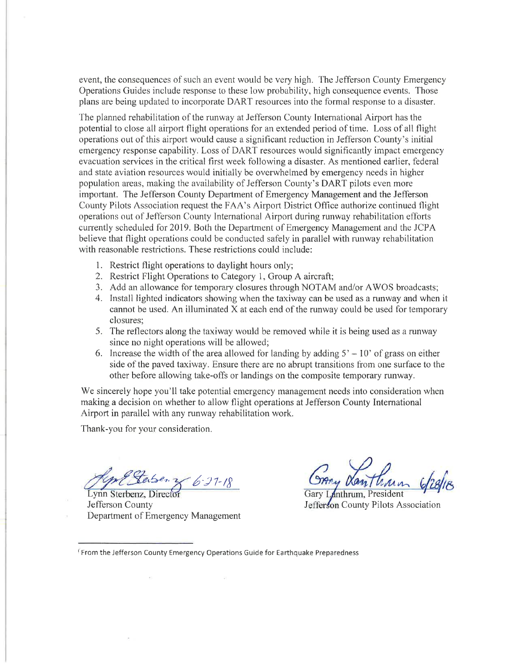event, the consequences of such an event would be very high. The Jefferson County Emergency Operations Guides include response to these low probability, high consequence events. Those plans are being updated to incorporate DART resources into the formal response to a disaster.

The planned rehabilitation of the runway at Jefferson County International Airport has the potential to close all airport flight operations for an extended period of time. Loss of all flight operations out of this airport would cause a significant reduction in Jefferson County's initial emergency response capability. Loss of DART resources would significantly impact emergency evacuation services in the critical first week following a disaster. As mentioned earlier, federal and state aviation resources would initially be overwhetmed by emergency needs in higher population areas, making the availability of Jefferson County's DART pilots even more important. The Jefferson County Department of Emergency Management and the Jefferson County Pilots Association request the FAA's Airport District Office authorize continued tlight operations out of Jefferson County International Airporl during runway rehabilitation el'forts currently scheduled for 2019. Both the Department of Emergency Management and the JCPA believe that flight operations could be conducted safely in parallel with runway rehabilitation with reasonable restrictions. These restrictions could include:

- 1. Restrict flight operations to daylight hours only;
- 2. Restrict Flight Operations to Category 1, Group A aircraft;
- 3. Add an allowance for temporary closures through NOTAM and/or AWOS broadcasts;
- 4. Install lighted indicators showing wlren the taxiway can be used as a runway and when it cannot be used. An illuminated X at each end of the runway could be used for temporary closures;
- 5. The reflectors along the taxiway would be removed while it is being used as a runway since no night operations will be allowed;
- 6. Increase the width of the area allowed for landing by adding  $5' 10'$  of grass on either side of the paved taxiway. Ensure there are no abrupt transitions from one surface to the other before allowing take-offs or landings on the composite temporary runway.

We sincerely hope you'll take potential emergency management needs into consideration when making a decision on whether to allow flight operations at Jefferson County Intemational Airport in parallel with any runway rehabilitation work.

Thank-you for your consideration.

 $27 - 18$ 

Lynn Sterbenz, Director **Example 2018** Gary Lanthrum, President Jefferson County Department of Emergency Management

 $\pm 1$ 

Jefferson County Pilots Association Gary Lanthrum, President

 $\mathcal{L}_{\mathrm{c}}$ 

<sup>i</sup>From the Jefferson County Emergency Operations Guide for Earthquake Preparedness